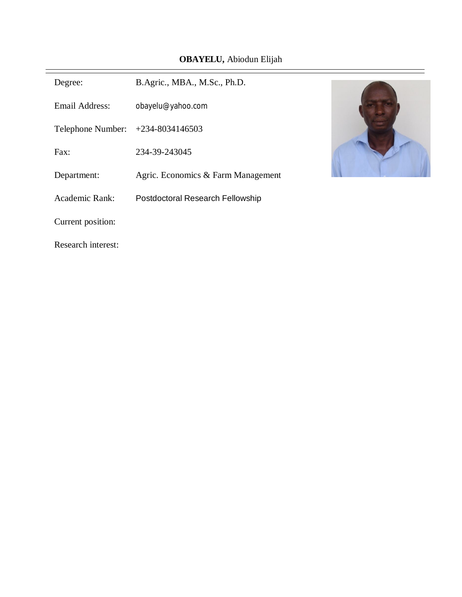# **OBAYELU,** Abiodun Elijah

| Degree:            | B.Agric., MBA., M.Sc., Ph.D.       |  |
|--------------------|------------------------------------|--|
| Email Address:     | obayelu@yahoo.com                  |  |
| Telephone Number:  | $+234 - 8034146503$                |  |
| Fax:               | 234-39-243045                      |  |
| Department:        | Agric. Economics & Farm Management |  |
| Academic Rank:     | Postdoctoral Research Fellowship   |  |
| Current position:  |                                    |  |
| Research interest: |                                    |  |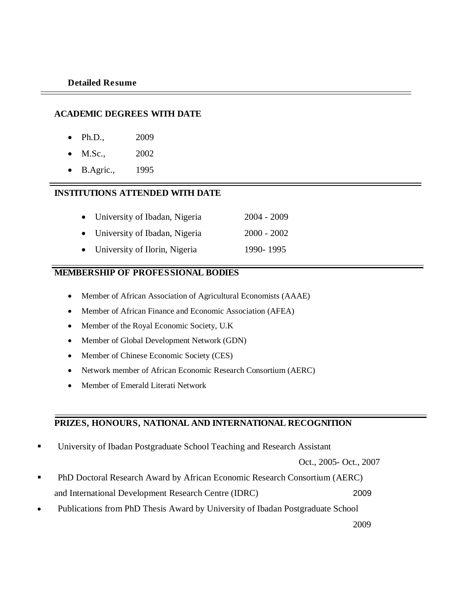#### **ACADEMIC DEGREES WITH DATE**

- Ph.D., 2009
- M.Sc., 2002
- B.Agric., 1995

# **INSTITUTIONS ATTENDED WITH DATE**

- University of Ibadan, Nigeria 2004 2009
- University of Ibadan, Nigeria 2000 2002
- University of Ilorin, Nigeria 1990- 1995

#### **MEMBERSHIP OF PROFESSIONAL BODIES**

- Member of African Association of Agricultural Economists (AAAE)
- Member of African Finance and Economic Association (AFEA)
- Member of the Royal Economic Society, U.K
- Member of Global Development Network (GDN)
- Member of Chinese Economic Society (CES)
- Network member of African Economic Research Consortium (AERC)
- Member of Emerald Literati Network

# **PRIZES, HONOURS, NATIONAL AND INTERNATIONAL RECOGNITION**

**University of Ibadan Postgraduate School Teaching and Research Assistant** 

Oct., 2005- Oct., 2007

- PhD Doctoral Research Award by African Economic Research Consortium (AERC) and International Development Research Centre (IDRC) 2009
- Publications from PhD Thesis Award by University of Ibadan Postgraduate School

2009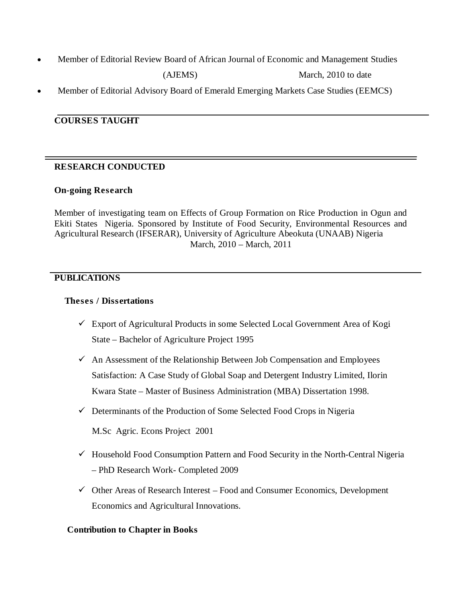Member of Editorial Review Board of African Journal of Economic and Management Studies

(AJEMS) March, 2010 to date

Member of Editorial Advisory Board of Emerald Emerging Markets Case Studies (EEMCS)

# **COURSES TAUGHT**

# **RESEARCH CONDUCTED**

#### **On-going Research**

Member of investigating team on Effects of Group Formation on Rice Production in Ogun and Ekiti States Nigeria. Sponsored by Institute of Food Security, Environmental Resources and Agricultural Research (IFSERAR), University of Agriculture Abeokuta (UNAAB) Nigeria March, 2010 – March, 2011

# **PUBLICATIONS**

# **Theses / Dissertations**

- $\checkmark$  Export of Agricultural Products in some Selected Local Government Area of Kogi State – Bachelor of Agriculture Project 1995
- $\checkmark$  An Assessment of the Relationship Between Job Compensation and Employees Satisfaction: A Case Study of Global Soap and Detergent Industry Limited, Ilorin Kwara State – Master of Business Administration (MBA) Dissertation 1998.
- $\checkmark$  Determinants of the Production of Some Selected Food Crops in Nigeria

M.Sc Agric. Econs Project 2001

- $\checkmark$  Household Food Consumption Pattern and Food Security in the North-Central Nigeria – PhD Research Work- Completed 2009
- $\checkmark$  Other Areas of Research Interest Food and Consumer Economics, Development Economics and Agricultural Innovations.

# **Contribution to Chapter in Books**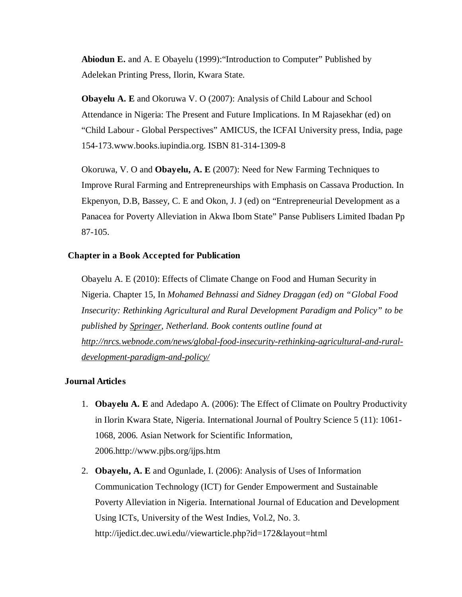**Abiodun E.** and A. E Obayelu (1999):"Introduction to Computer" Published by Adelekan Printing Press, Ilorin, Kwara State.

**Obayelu A. E** and Okoruwa V. O (2007): Analysis of Child Labour and School Attendance in Nigeria: The Present and Future Implications. In M Rajasekhar (ed) on "Child Labour - Global Perspectives" AMICUS, the ICFAI University press, India, page 154-173.www.books.iupindia.org. ISBN 81-314-1309-8

Okoruwa, V. O and **Obayelu, A. E** (2007): Need for New Farming Techniques to Improve Rural Farming and Entrepreneurships with Emphasis on Cassava Production. In Ekpenyon, D.B, Bassey, C. E and Okon, J. J (ed) on "Entrepreneurial Development as a Panacea for Poverty Alleviation in Akwa Ibom State" Panse Publisers Limited Ibadan Pp 87-105.

#### **Chapter in a Book Accepted for Publication**

Obayelu A. E (2010): Effects of Climate Change on Food and Human Security in Nigeria. Chapter 15, In *Mohamed Behnassi and Sidney Draggan (ed) on "Global Food Insecurity: Rethinking Agricultural and Rural Development Paradigm and Policy" to be published by Springer, Netherland. Book contents outline found at http://nrcs.webnode.com/news/global-food-insecurity-rethinking-agricultural-and-ruraldevelopment-paradigm-and-policy/*

#### **Journal Articles**

- 1. **Obayelu A. E** and Adedapo A. (2006): The Effect of Climate on Poultry Productivity in Ilorin Kwara State, Nigeria. International Journal of Poultry Science 5 (11): 1061- 1068, 2006. Asian Network for Scientific Information, 2006.http://www.pjbs.org/ijps.htm
- 2. **Obayelu, A. E** and Ogunlade, I. (2006): Analysis of Uses of Information Communication Technology (ICT) for Gender Empowerment and Sustainable Poverty Alleviation in Nigeria. International Journal of Education and Development Using ICTs, University of the West Indies, Vol.2, No. 3. http://ijedict.dec.uwi.edu//viewarticle.php?id=172&layout=html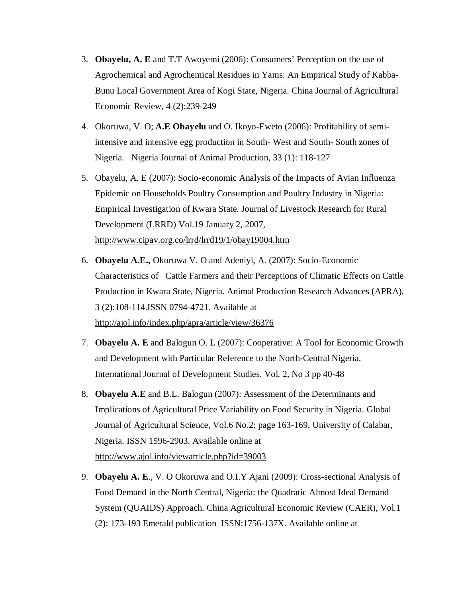- 3. **Obayelu, A. E** and T.T Awoyemi (2006): Consumers' Perception on the use of Agrochemical and Agrochemical Residues in Yams: An Empirical Study of Kabba-Bunu Local Government Area of Kogi State, Nigeria. China Journal of Agricultural Economic Review, 4 (2):239-249
- 4. Okoruwa, V. O; **A.E Obayelu** and O. Ikoyo-Eweto (2006): Profitability of semiintensive and intensive egg production in South- West and South- South zones of Nigeria. Nigeria Journal of Animal Production, 33 (1): 118-127
- 5. Obayelu, A. E (2007): Socio-economic Analysis of the Impacts of Avian Influenza Epidemic on Households Poultry Consumption and Poultry Industry in Nigeria: Empirical Investigation of Kwara State. Journal of Livestock Research for Rural Development (LRRD) Vol.19 January 2, 2007, http://www.cipav.org.co/lrrd/lrrd19/1/obay19004.htm
- 6. **Obayelu A.E.,** Okoruwa V. O and Adeniyi, A. (2007): Socio-Economic Characteristics of Cattle Farmers and their Perceptions of Climatic Effects on Cattle Production in Kwara State, Nigeria. Animal Production Research Advances (APRA), 3 (2):108-114.ISSN 0794-4721. Available at http://ajol.info/index.php/apra/article/view/36376
- 7. **Obayelu A. E** and Balogun O. L (2007): Cooperative: A Tool for Economic Growth and Development with Particular Reference to the North-Central Nigeria. International Journal of Development Studies. Vol. 2, No 3 pp 40-48
- 8. **Obayelu A.E** and B.L. Balogun (2007): Assessment of the Determinants and Implications of Agricultural Price Variability on Food Security in Nigeria. Global Journal of Agricultural Science, Vol.6 No.2; page 163-169, University of Calabar, Nigeria. ISSN 1596-2903. Available online at http://www.ajol.info/viewarticle.php?id=39003
- 9. **Obayelu A. E**., V. O Okoruwa and O.I.Y Ajani (2009): Cross-sectional Analysis of Food Demand in the North Central, Nigeria: the Quadratic Almost Ideal Demand System (QUAIDS) Approach. China Agricultural Economic Review (CAER), Vol.1 (2): 173-193 Emerald publication ISSN:1756-137X. Available online at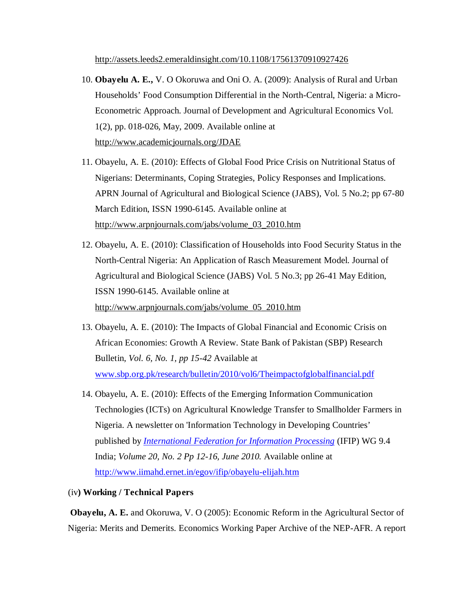http://assets.leeds2.emeraldinsight.com/10.1108/17561370910927426

- 10. **Obayelu A. E.,** V. O Okoruwa and Oni O. A. (2009): Analysis of Rural and Urban Households' Food Consumption Differential in the North-Central, Nigeria: a Micro-Econometric Approach. Journal of Development and Agricultural Economics Vol. 1(2), pp. 018-026, May, 2009. Available online at http://www.academicjournals.org/JDAE
- 11. Obayelu, A. E. (2010): Effects of Global Food Price Crisis on Nutritional Status of Nigerians: Determinants, Coping Strategies, Policy Responses and Implications. APRN Journal of Agricultural and Biological Science (JABS), Vol. 5 No.2; pp 67-80 March Edition, ISSN 1990-6145. Available online at http://www.arpnjournals.com/jabs/volume\_03\_2010.htm
- 12. Obayelu, A. E. (2010): Classification of Households into Food Security Status in the North-Central Nigeria: An Application of Rasch Measurement Model. Journal of Agricultural and Biological Science (JABS) Vol. 5 No.3; pp 26-41 May Edition, ISSN 1990-6145. Available online at http://www.arpnjournals.com/jabs/volume\_05\_2010.htm
- 13. Obayelu, A. E. (2010): The Impacts of Global Financial and Economic Crisis on African Economies: Growth A Review. State Bank of Pakistan (SBP) Research Bulletin, *Vol. 6, No. 1, pp 15-42* Available at www.sbp.org.pk/research/bulletin/2010/vol6/Theimpactofglobalfinancial.pdf
- 14. Obayelu, A. E. (2010): Effects of the Emerging Information Communication Technologies (ICTs) on Agricultural Knowledge Transfer to Smallholder Farmers in Nigeria. A newsletter on 'Information Technology in Developing Countries' published by *International Federation for Information Processing* (IFIP) WG 9.4 India; *Volume 20, No. 2 Pp 12-16, June 2010.* Available online at http://www.iimahd.ernet.in/egov/ifip/obayelu-elijah.htm
- (iv**) Working / Technical Papers**

**Obayelu, A. E.** and Okoruwa, V. O (2005): Economic Reform in the Agricultural Sector of Nigeria: Merits and Demerits. Economics Working Paper Archive of the NEP-AFR. A report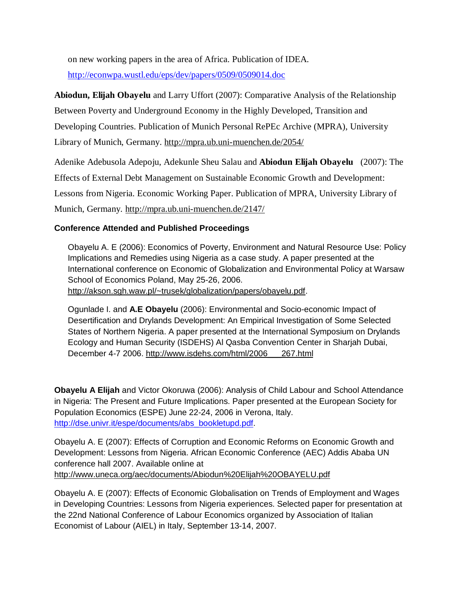on new working papers in the area of Africa. Publication of IDEA.

http://econwpa.wustl.edu/eps/dev/papers/0509/0509014.doc

**Abiodun, Elijah Obayelu** and Larry Uffort (2007): Comparative Analysis of the Relationship Between Poverty and Underground Economy in the Highly Developed, Transition and Developing Countries. Publication of Munich Personal RePEc Archive (MPRA), University Library of Munich, Germany. http://mpra.ub.uni-muenchen.de/2054/

Adenike Adebusola Adepoju, Adekunle Sheu Salau and **Abiodun Elijah Obayelu** (2007): The Effects of External Debt Management on Sustainable Economic Growth and Development: Lessons from Nigeria. Economic Working Paper. Publication of MPRA, University Library of Munich, Germany. http://mpra.ub.uni-muenchen.de/2147/

# **Conference Attended and Published Proceedings**

Obayelu A. E (2006): Economics of Poverty, Environment and Natural Resource Use: Policy Implications and Remedies using Nigeria as a case study. A paper presented at the International conference on Economic of Globalization and Environmental Policy at Warsaw School of Economics Poland, May 25-26, 2006. http://akson.sgh.waw.pl/~trusek/globalization/papers/obayelu.pdf.

Ogunlade I. and **A.E Obayelu** (2006): Environmental and Socio-economic Impact of Desertification and Drylands Development: An Empirical Investigation of Some Selected States of Northern Nigeria. A paper presented at the International Symposium on Drylands Ecology and Human Security (ISDEHS) Al Qasba Convention Center in Sharjah Dubai, December 4-7 2006. http://www.isdehs.com/html/2006\_\_\_267.html

**Obayelu A Elijah** and Victor Okoruwa (2006): Analysis of Child Labour and School Attendance in Nigeria: The Present and Future Implications. Paper presented at the European Society for Population Economics (ESPE) June 22-24, 2006 in Verona, Italy. http://dse.univr.it/espe/documents/abs\_bookletupd.pdf.

Obayelu A. E (2007): Effects of Corruption and Economic Reforms on Economic Growth and Development: Lessons from Nigeria. African Economic Conference (AEC) Addis Ababa UN conference hall 2007. Available online at http://www.uneca.org/aec/documents/Abiodun%20Elijah%20OBAYELU.pdf

Obayelu A. E (2007): Effects of Economic Globalisation on Trends of Employment and Wages in Developing Countries: Lessons from Nigeria experiences. Selected paper for presentation at the 22nd National Conference of Labour Economics organized by Association of Italian Economist of Labour (AIEL) in Italy, September 13-14, 2007.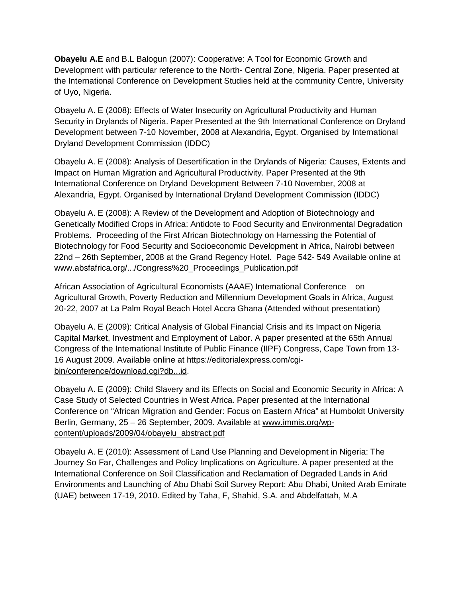**Obayelu A.E** and B.L Balogun (2007): Cooperative: A Tool for Economic Growth and Development with particular reference to the North- Central Zone, Nigeria. Paper presented at the International Conference on Development Studies held at the community Centre, University of Uyo, Nigeria.

Obayelu A. E (2008): Effects of Water Insecurity on Agricultural Productivity and Human Security in Drylands of Nigeria. Paper Presented at the 9th International Conference on Dryland Development between 7-10 November, 2008 at Alexandria, Egypt. Organised by International Dryland Development Commission (IDDC)

Obayelu A. E (2008): Analysis of Desertification in the Drylands of Nigeria: Causes, Extents and Impact on Human Migration and Agricultural Productivity. Paper Presented at the 9th International Conference on Dryland Development Between 7-10 November, 2008 at Alexandria, Egypt. Organised by International Dryland Development Commission (IDDC)

Obayelu A. E (2008): A Review of the Development and Adoption of Biotechnology and Genetically Modified Crops in Africa: Antidote to Food Security and Environmental Degradation Problems. Proceeding of the First African Biotechnology on Harnessing the Potential of Biotechnology for Food Security and Socioeconomic Development in Africa, Nairobi between 22nd – 26th September, 2008 at the Grand Regency Hotel. Page 542- 549 Available online at www.absfafrica.org/.../Congress%20\_Proceedings\_Publication.pdf

African Association of Agricultural Economists (AAAE) International Conference on Agricultural Growth, Poverty Reduction and Millennium Development Goals in Africa, August 20-22, 2007 at La Palm Royal Beach Hotel Accra Ghana (Attended without presentation)

Obayelu A. E (2009): Critical Analysis of Global Financial Crisis and its Impact on Nigeria Capital Market, Investment and Employment of Labor. A paper presented at the 65th Annual Congress of the International Institute of Public Finance (IIPF) Congress, Cape Town from 13- 16 August 2009. Available online at https://editorialexpress.com/cgibin/conference/download.cgi?db...id.

Obayelu A. E (2009): Child Slavery and its Effects on Social and Economic Security in Africa: A Case Study of Selected Countries in West Africa. Paper presented at the International Conference on "African Migration and Gender: Focus on Eastern Africa" at Humboldt University Berlin, Germany, 25 – 26 September, 2009. Available at www.immis.org/wpcontent/uploads/2009/04/obayelu\_abstract.pdf

Obayelu A. E (2010): Assessment of Land Use Planning and Development in Nigeria: The Journey So Far, Challenges and Policy Implications on Agriculture. A paper presented at the International Conference on Soil Classification and Reclamation of Degraded Lands in Arid Environments and Launching of Abu Dhabi Soil Survey Report; Abu Dhabi, United Arab Emirate (UAE) between 17-19, 2010. Edited by Taha, F, Shahid, S.A. and Abdelfattah, M.A